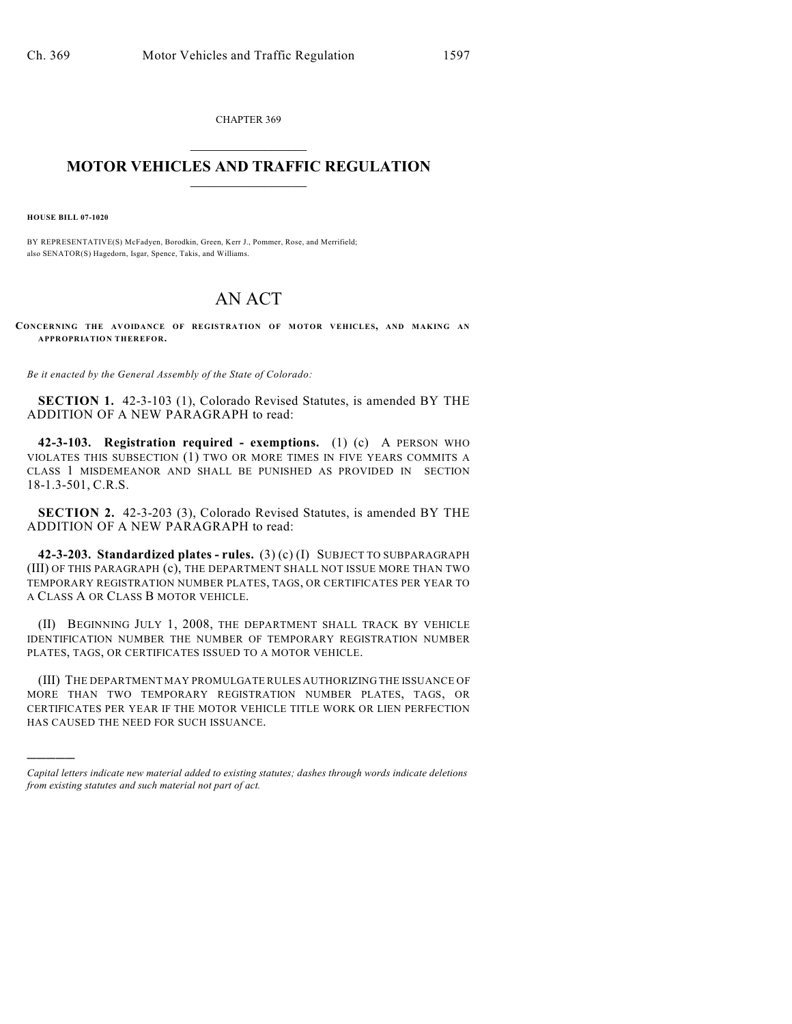CHAPTER 369  $\mathcal{L}_\text{max}$  . The set of the set of the set of the set of the set of the set of the set of the set of the set of the set of the set of the set of the set of the set of the set of the set of the set of the set of the set

## **MOTOR VEHICLES AND TRAFFIC REGULATION**  $\frac{1}{2}$  ,  $\frac{1}{2}$  ,  $\frac{1}{2}$  ,  $\frac{1}{2}$  ,  $\frac{1}{2}$  ,  $\frac{1}{2}$  ,  $\frac{1}{2}$  ,  $\frac{1}{2}$

**HOUSE BILL 07-1020**

)))))

BY REPRESENTATIVE(S) McFadyen, Borodkin, Green, Kerr J., Pommer, Rose, and Merrifield; also SENATOR(S) Hagedorn, Isgar, Spence, Takis, and Williams.

## AN ACT

**CONCERNING THE AVOIDANCE OF REGISTRATION OF MOTOR VEHICLES, AND MAKING AN APPROPRIATION THEREFOR.**

*Be it enacted by the General Assembly of the State of Colorado:*

**SECTION 1.** 42-3-103 (1), Colorado Revised Statutes, is amended BY THE ADDITION OF A NEW PARAGRAPH to read:

**42-3-103. Registration required - exemptions.** (1) (c) A PERSON WHO VIOLATES THIS SUBSECTION (1) TWO OR MORE TIMES IN FIVE YEARS COMMITS A CLASS 1 MISDEMEANOR AND SHALL BE PUNISHED AS PROVIDED IN SECTION 18-1.3-501, C.R.S.

**SECTION 2.** 42-3-203 (3), Colorado Revised Statutes, is amended BY THE ADDITION OF A NEW PARAGRAPH to read:

**42-3-203. Standardized plates - rules.** (3) (c) (I) SUBJECT TO SUBPARAGRAPH (III) OF THIS PARAGRAPH (c), THE DEPARTMENT SHALL NOT ISSUE MORE THAN TWO TEMPORARY REGISTRATION NUMBER PLATES, TAGS, OR CERTIFICATES PER YEAR TO A CLASS A OR CLASS B MOTOR VEHICLE.

(II) BEGINNING JULY 1, 2008, THE DEPARTMENT SHALL TRACK BY VEHICLE IDENTIFICATION NUMBER THE NUMBER OF TEMPORARY REGISTRATION NUMBER PLATES, TAGS, OR CERTIFICATES ISSUED TO A MOTOR VEHICLE.

(III) THE DEPARTMENT MAY PROMULGATE RULES AUTHORIZING THE ISSUANCE OF MORE THAN TWO TEMPORARY REGISTRATION NUMBER PLATES, TAGS, OR CERTIFICATES PER YEAR IF THE MOTOR VEHICLE TITLE WORK OR LIEN PERFECTION HAS CAUSED THE NEED FOR SUCH ISSUANCE.

*Capital letters indicate new material added to existing statutes; dashes through words indicate deletions from existing statutes and such material not part of act.*